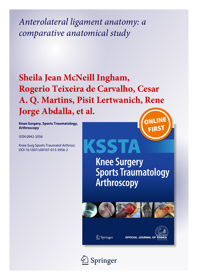*Anterolateral ligament anatomy: a comparative anatomical study*

# **Sheila Jean McNeill Ingham, Rogerio Teixeira de Carvalho, Cesar A. Q. Martins, Pisit Lertwanich, Rene Jorge Abdalla, et al.**ONLINI

**Knee Surgery, Sports Traumatology, Arthroscopy**

ISSN 0942-2056

Knee Surg Sports Traumatol Arthrosc DOI 10.1007/s00167-015-3956-2

KSSTA **Knee Surgery Sports Traumatology** Arthroscopy



**OFFICIAL JOURNAL OF** 

Springer

 $\mathcal{D}$  Springer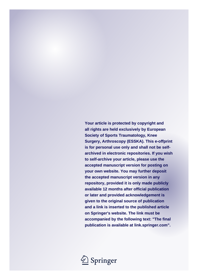**Your article is protected by copyright and all rights are held exclusively by European Society of Sports Traumatology, Knee Surgery, Arthroscopy (ESSKA). This e-offprint is for personal use only and shall not be selfarchived in electronic repositories. If you wish to self-archive your article, please use the accepted manuscript version for posting on your own website. You may further deposit the accepted manuscript version in any repository, provided it is only made publicly available 12 months after official publication or later and provided acknowledgement is given to the original source of publication and a link is inserted to the published article on Springer's website. The link must be accompanied by the following text: "The final publication is available at link.springer.com".**

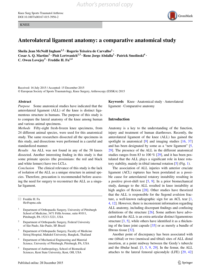KNEE



### **Anterolateral ligament anatomy: a comparative anatomical study**

**Sheila Jean McNeill Ingham1,2 · Rogerio Teixeira de Carvalho2 · Cesar A. Q. Martins<sup>1</sup> · Pisit Lertwanich1,3 · Rene Jorge Abdalla2 · Patrick Smolinski4 · C.** Owen Lovejoy<sup>5</sup> **· Freddie H.**  $Fu^{1,4}$ 

Received: 16 July 2015 / Accepted: 15 December 2015 © European Society of Sports Traumatology, Knee Surgery, Arthroscopy (ESSKA) 2015

#### **Abstract**

*Purpose* Some anatomical studies have indicated that the anterolateral ligament (ALL) of the knee is distinct ligamentous structure in humans. The purpose of this study is to compare the lateral anatomy of the knee among human and various animal specimens.

*Methods* Fifty-eight fresh-frozen knee specimens, from 24 different animal species, were used for this anatomical study. The same researchers dissected all the specimens in this study, and dissections were performed in a careful and standardized manner.

*Results* An ALL was not found in any of the 58 knees dissected. Another interesting finding in this study is that some primate species (the prosimians: the red and black and white lemurs) have two LCLs.

*Conclusion* The clinical relevance of this study is the lack of isolation of the ALL as a unique structure in animal species. Therefore, precaution is recommended before assessing the need for surgery to reconstruct the ALL as a singular ligament.

 $\boxtimes$  Freddie H. Fu ffu@upmc.edu

- <sup>1</sup> Department of Orthopaedic Surgery, University of Pittsburgh School of Medicine, 3471 Fifth Avenue, suite #1011, Pittsburgh, PA 15213-3221, USA
- Department of Orthopaedic Surgery, Federal University of São Paulo, São Paulo, SP, Brazil
- Department of Orthopaedic Surgery, Faculty of Medicine Siriraj Hospital, Mahidol University, Bangkok, Thailand
- <sup>4</sup> Department of Mechanical Engineering and Material Science, University of Pittsburgh, Pittsburgh, PA, USA
- <sup>5</sup> Department of Anthropology, School of Biomedical Sciences, Kent State University, Kent, OH, USA

**Keywords** Knee · Anatomical study · Anterolateral ligament · Comparative anatomy

#### **Introduction**

Anatomy is a key to the understanding of the function, injury and treatment of human diarthroses. Recently, the anterolateral ligament of the knee (ALL) has gained the spotlight in anatomical [\[9](#page-7-0)] and imaging studies [[16,](#page-7-1) [37\]](#page-7-2) and has been designated by some as a "new ligament" [[5,](#page-7-3) [29](#page-7-4)]. The presence of the ALL in the different anatomical studies ranges from 83 to 100 % [\[29](#page-7-4)], and it has been postulated that the ALL plays a significant role in knee rotatory stability, mainly in tibial internal rotation [[5\]](#page-7-3) (Fig. [1](#page-3-0)).

The association of ALL injuries with anterior cruciate ligament (ACL) ruptures has been postulated as a possible cause for anterolateral rotatory instability resulting in a positive pivot-shift test [[5,](#page-7-3) [9](#page-7-0)]. In a prior biomechanical study, damage to the ALL resulted in knee instability at high angles of flexion [\[28](#page-7-5)]. Other studies have theorized that the ALL is responsible for the Segond avulsion fracture, a well-known radiographic sign for an ACL tear [[1,](#page-7-6) [4](#page-7-7), [12](#page-7-8)]. However, there is inconsistent information regarding ALL anatomy, including discrepant findings and confusing definitions of the structure [\[26](#page-7-9)]. Some authors have advocated that the ALL is an extra-articular distinct ligamentous structure [\[3](#page-7-10), [5](#page-7-3)], while others have identified it as a thickening of the knee joint capsule [\[35](#page-7-11)] or as merely a bundle of fibrous tissue [\[32](#page-7-12)].

Another point of discrepancy has been associated with one (tibial) or two (meniscal and tibial) sites of ALL distal insertion, at a point midway between the Gerdy's tubercle and the fibular head. [\[3](#page-7-10), [5,](#page-7-3) [9,](#page-7-0) [29](#page-7-4)]. In the femur, the ALL attaches to the lateral femoral epicondyle (LFE) [\[29](#page-7-4), [42\]](#page-8-0)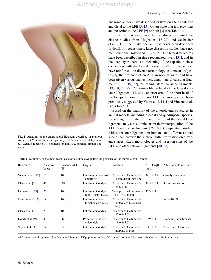

**Fig. 1** Anatomy of the anterolateral ligament described in previous studies. *LFE* lateral femoral epicondyle, *ALL* anterolateral ligament, *GT* Gerdy's tubercle, *PT* popliteus tendon, *PFL* popliteal-fibular ligament

but some authors have described its fixation site as anterior and distal to the LFE  $[5, 15]$  $[5, 15]$  $[5, 15]$  $[5, 15]$ . Others state that it is proximal and posterior to the LFE  $[9]$  $[9]$  or both  $[3]$  $[3]$  (see Table [1\)](#page-3-1).

From the first anatomical human dissections until the classic studies from Hughston [[17–](#page-7-14)[20\]](#page-7-15) and Seebacher et al. [[31\]](#page-7-16) in the 1970s, the ALL has never been described in detail. In recent times, knee dissection studies have not mentioned the isolated ALL [\[23](#page-7-17)[–25](#page-7-18)]. The lateral structures have been described in three recognized layers [[31\]](#page-7-16), and in the deep layer, there is a thickening of the capsule in close connection with the lateral meniscus [\[27](#page-7-19)]. Some authors have reinforced the diverse terminology as a means of justifying the presence of an ALL in normal knees and have been given various names including: "lateral capsular ligament" [[6,](#page-7-20) [8](#page-7-21), [19](#page-7-22), [22\]](#page-7-23), "midthird lateral capsular ligament" [\[13](#page-7-24), [19,](#page-7-22) [22,](#page-7-23) [27\]](#page-7-19), "anterior oblique band of the lateral collateral ligament" [\[1](#page-7-6), [21\]](#page-7-25), "anterior arm of the short head of the biceps femoris" [[39\]](#page-8-1). An ALL terminology had been previously suggested by Vieira et al. [\[41](#page-8-2)] and Vincent et al. [\[42](#page-8-0)] (Table [1](#page-3-1)).

Based on the anatomy of the anterolateral structures in animal models, including bipedal and quadrupedal species, some insights into the form and function of the lateral knee ligaments may assist clinicians in their interpretation of the ALL "enigma" in humans [[26,](#page-7-9) [29\]](#page-7-4). Comparative studies with other knee ligaments in humans and different animal species can provide the surgeon with information on different shapes, sizes, morphologies and insertion sites of the ALL and other relevant ligaments [[30,](#page-7-26) [38\]](#page-7-27).

<span id="page-3-1"></span><span id="page-3-0"></span>**Table 1** Summary of the most recent cadaveric studies evaluating the presence of the anterolateral ligament

| References                      | N cadaver<br>knees | Presence ALL<br>$(\%)$ | Origin                                     | Insertion                                                   | ALL length<br>(mm) | Attachment to meniscus   |
|---------------------------------|--------------------|------------------------|--------------------------------------------|-------------------------------------------------------------|--------------------|--------------------------|
| Vincent et al. $[42]$           | 10                 | 100                    | Lat fem condyle just<br>anterior PT        | Posterior to Ge tubercle<br>(5-mm distal joint line)        | $34.1 \pm 3.4$     | Closely associated       |
| Claes et al. $[5]$              | 41                 | 97                     | Lat fem epicondyle                         | Posterior to Ge tubercle<br>$(21.6 \pm 4.0)$                | $38.5 \pm 6.1$     | Strong connection        |
| Helito et al. $[15]$            | 20                 | 100                    | Lat fem epicondyle<br>$(ant + distal LCL)$ | Two: proximal lat menis-<br>cus; $38\%$ to FH               | $37.3 \pm 4.0$     |                          |
| Caterine et al. [3]             | 19                 | 100                    | Lat fem condyle;<br>together with LCL      | Posterior to Ge tubercle<br>(halfway to LCL inser-<br>tion) |                    | Yes—100 $\%$             |
| Claes et al. $[4]$              | 29                 | 100                    | Lat fem epicondyle                         | Posterior to Ge tubercle<br>$(22.0 \pm 4.0)$                |                    |                          |
| Dodds et al. $[9]$              | 40                 | 83                     | Posterior to lat fem<br>epicondyle         | Posterior to Ge tubercle<br>$(18.0 \pm 3.0)$                | $59 \pm 4$         | Branching attachments    |
| Stijak et al. $\left[35\right]$ | 14                 | 50                     | Lat fem epicondyle                         | Posterior to Ge tubercle<br>(halfway to FH)                 | $41 \pm 3$         | Posterior to Ge tubercle |

*ALL* anterolateral ligament, *Lat fem* lateral femoral, *PT* popliteus tendon, *LCL* lateral collateral ligament, *Ge* Gerdy's, *FH* fibular head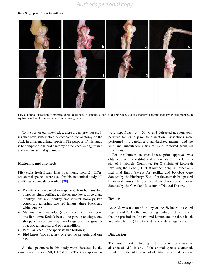## *Author's personal copy*



<span id="page-4-0"></span>**Fig. 2** Lateral dissection of primate knees. **a** Human, **b** bonobo, **c** gorilla, **d** orangutan, **e** diana monkey, **f** rhesus monkey, **g** saki monkey, **h** squirrel monkey, **i** cotton-top tamarin monkey, **j** lemur

To the best of our knowledge, there are no previous studies that have systematically compared the anatomy of the ALL in different animal species. The purpose of this study is to compare the lateral anatomy of the knee among human and various animal specimens.

#### **Materials and methods**

Fifty-eight fresh-frozen knee specimens, from 24 different animal species, were used for this anatomical study (all adult), as previously described [[38\]](#page-7-27):

- Primate knees included (ten species): four humans, two bonobos, eight gorillas, ten rhesus monkeys, three diana monkeys, one saki monkey, two squirrel monkeys, two cotton-top tamarins, two red lemurs, three black and white lemurs;
- Mammal knee included (eleven species): two tigers, one lion, three Kodiak bears, one gazelle antelope, one sheep, one deer, one dog, two kangaroos, one groundhog, two tamanduas and two armadillos;
- Reptilian knees (one species): two tortoises;
- Bird knees (two species): one gentoo penguin and one hawk.

All the specimens in this study were dissected by the same researchers (SJMI, CAQM, PL). The knee specimens were kept frozen at −20 °C and defrosted at room temperature for 24 h prior to dissection. Dissections were performed in a careful and standardized manner, and the skin and subcutaneous tissues were removed from all specimens.

For the human cadaver knees, prior approval was obtained from the institutional review board of the University of Pittsburgh [Committee for Oversight of Research involving the Dead (CORID) number 224]. All other animal hind limbs (except for gorillas and bonobo) were donated by the Pittsburgh Zoo, after the animals had passed by natural causes. The gorilla and bonobo specimens were donated by the Cleveland Museum of Natural History.

#### **Results**

An ALL was not found in any of the 58 knees dissected Figs. [2](#page-4-0) and [3.](#page-6-0) Another interesting finding in this study is that the prosimians (the two red lemurs and the three black and white lemurs) have two lateral collateral ligaments.

#### **Discussion**

The most important finding of the present study was the absence of ALL in any of the animal species examined. In addition, the ALL was not identified as an independent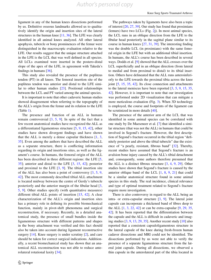*Author's personal copy*

ligament in any of the human knees dissections performed by us. Definitive osseous landmarks allowed us to qualitatively identify the origin and insertion sites of the lateral structures in the human knee [\[11](#page-7-28), [36](#page-7-29)]. The LFE was clearly identified in all animal knees analyzed. All other lateral apophysis, tubercle or bony prominences of the femur were distinguished in the macroscopic evaluation relative to the LFE. Our results suggest that the unique structure attached in the LFE is the LCL that was well defined in all species. All LCLs examined were inserted in the postero-distal slope of the apex of the LFE, in agreement with Takeda's findings in humans [[36\]](#page-7-29).

This study also revealed the presence of the popliteus tendon (PT) in all knees. The femoral insertion site of the popliteus tendon was anterior and distal to the LFE similar to other human studies [\[23](#page-7-17)]. Positional relationships between the LCL and PT varied among the animal species.

It is important to note that other cadaveric human studies showed disagreement when referring to the topography of the ALL's origin from the femur and its relation to the LFE (Table [1\)](#page-3-1).

The presence and function of an ALL in humans remain controversial  $[3, 5, 9]$  $[3, 5, 9]$  $[3, 5, 9]$  $[3, 5, 9]$  $[3, 5, 9]$  $[3, 5, 9]$ . In spite of the fact that a few recent anatomical studies have recognized the ALL as a differentiated ligamentous structure [[5,](#page-7-3) [9,](#page-7-0) [15](#page-7-13), [42](#page-8-0)], other studies have shown divergent findings and have shown that the ALL is merely a dense capsular thickness  $[1, 3, 3]$  $[1, 3, 3]$  $[1, 3, 3]$  $[1, 3, 3]$ [35](#page-7-11)]. Even among the authors that have described the ALL as a separate structure, there is conflicting information regarding its origin and insertions sites, as well as the ligament's course. In humans, the femoral origin of the ALL has been described in three different regions: the LFE [[5,](#page-7-3) [35](#page-7-11)]; anterior and distal to the LFE [[3,](#page-7-10) [15](#page-7-13), [42\]](#page-8-0); posterior and proximal to the LFE  $[3, 9]$  $[3, 9]$  $[3, 9]$  $[3, 9]$ . The tibial insertion site of the ALL has also been a point of controversy [\[3,](#page-7-10) [5,](#page-7-3) [9,](#page-7-0) [42](#page-8-0)]. The most commonly described tibial ALL attachment is located midway between the centre of Gerdy's tubercle posteriorly and the anterior margin of the fibular head [[3,](#page-7-10) [5](#page-7-3), [9\]](#page-7-0). Other studies specify (with quantitative measures) different tibial ALL points of insertion [[15](#page-7-13), [42\]](#page-8-0). A clear characterization of the ALL's origin and insertion sites has a primary role in defining its possible biomechanical function, mainly in pivot-shift phenomena and surgical reconstruction, if necessary. Recently, in a detailed anatomical study, the presence of small bundles inside the ligamentous structure with different patterns and shapes in the bony attachment was verified and this fact should also be taken into account during ligament reconstructive surgery [[14](#page-7-30)]. Knee surgery is under scrutiny [\[2](#page-7-31)], and care should be taken for correct surgical indications. Additionally, a recent biomechanical study has shown that an anatomical ALL reconstruction was not able to reduce anterolateral rotational laxity [\[34](#page-7-32)].

The pathways taken by ligaments have also been a topic of interest [[20,](#page-7-15) [27,](#page-7-19) [39\]](#page-8-1). Our study has found that prosimians (lemurs) have two LCLs (Fig. [2](#page-4-0)j). In most animal species, the LCL runs in an oblique direction from the LFE to the fibular head posteriorly in the sagittal plane similar to its course in human knees [\[27](#page-7-19), [31](#page-7-16), [39](#page-8-1)]. The interesting finding was the double LCL (in prosimians) with the same femoral origin in the LFE but with an additional tibial insertion. In humans, the ALL's course has been described in several ways. Dodds et al. [[9\]](#page-7-0) showed that the ALL crosses over the LCL superficially and in an oblique direction (from lateral to medial and from proximal to distal) to its tibial insertion. Others have delineated that the ALL runs anteroinferiorly to the LFE towards the proximal tibia across the knee joint [\[5](#page-7-3), [15](#page-7-13), [35](#page-7-11), [42](#page-8-0)]. Its close connection and attachments to the lateral meniscus have been reported [\[3](#page-7-10), [5,](#page-7-3) [9,](#page-7-0) [15](#page-7-13), [35,](#page-7-11) [42](#page-8-0)]. However, it is important to note that our investigation was performed under 2D visualization that can mitigate a more meticulous evaluation (Fig. [3\)](#page-6-0). When 3D technology is employed, the course and footprints of the ligament can be scrutinized in more details [[40\]](#page-8-3).

The presence of the anterior arm of the LCL that was identified in some animal species can be correlated with one study by De Maeseneer et al. [[7\]](#page-7-33) that identified a similar structure (that was not the ALL) in humans that could be involved in Segond's fracture. However, the first description of Segond's fracture occurred in the tibial region "definitely posterior and above the tibial tubercle" due the existence of "a pearly, resistant, fibrous band" [\[32](#page-7-12)]. Thereby, recent studies have assumed that Segond's fracture is an avulsion bone injury caused by the ALL's tibial detachment and, consequently, some authors therefore presumed that the ALL is a distinct fibrous structure [[3,](#page-7-10) [4,](#page-7-7) [9,](#page-7-0) [29](#page-7-4)]. Other studies have shown that Segond's fracture is caused by the anterior oblique band of the LCL [\[1](#page-7-6), [8,](#page-7-21) [9,](#page-7-0) [21](#page-7-25)] that could be a similar anatomical structure found in some animal species in this study. The real incidence, clinical relevance and type of optimal treatment related to Segond's fracture require more investigation.

There is also controversy in regard to the ALL being an intra- or extra-capsular structure [\[3](#page-7-10), [9](#page-7-0)]. The lateral joint capsule can incorporate a thickened band of fibres deep to the ALL  $[1, 3, 22, 42]$  $[1, 3, 22, 42]$  $[1, 3, 22, 42]$  $[1, 3, 22, 42]$  $[1, 3, 22, 42]$  $[1, 3, 22, 42]$  $[1, 3, 22, 42]$  $[1, 3, 22, 42]$  or can be extra-capsular  $[9, 29, 35, 42]$  $[9, 29, 35, 42]$  $[9, 29, 35, 42]$  $[9, 29, 35, 42]$  $[9, 29, 35, 42]$  $[9, 29, 35, 42]$ [42](#page-8-0)]. It has been reported that the differentiation between the capsule and the ALL is difficult in cadaveric and imaging studies [[3,](#page-7-10) [9,](#page-7-0) [13,](#page-7-24) [29,](#page-7-4) [35\]](#page-7-11). Another recent study [\[10](#page-7-34)] also reported that a consistent capsuloligamentous structure in the lateral capsule of the knee during fresh-frozen human cadaver dissections and MRI could not be identified. The dissections performed by us were not able to verify the presence of a separate ligamentous structure from the lateral joint capsule. During all dissections, we observed a thin capsule in the anterolateral part of the tibia located in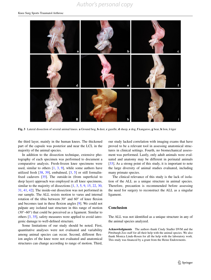## *Author's personal copy*



<span id="page-6-0"></span>**Fig. 3** Lateral dissection of several animal knees. **a** Ground hog, **b** deer, **c** gazelle, **d** sheep, **e** dog, **f** kangaroo, **g** bear, **h** lion, **i** tiger

the third layer, mainly in the human knees. The thickened part of the capsule was posterior and near the LCL in the majority of the animal species.

In addition to the dissection technique, extensive photography of each specimen was performed to document a comparative analysis. Fresh-frozen knee specimens were used, similar to others  $[1, 3, 9]$  $[1, 3, 9]$  $[1, 3, 9]$  $[1, 3, 9]$  $[1, 3, 9]$  $[1, 3, 9]$  $[1, 3, 9]$ , while some authors have utilized fresh  $[38, 39]$  $[38, 39]$  $[38, 39]$ , embalmed,  $[3, 5]$  $[3, 5]$  $[3, 5]$  $[3, 5]$  $[3, 5]$  or still formalinfixed cadavers [\[35](#page-7-11)]. The outside-in (from superficial to deep layer) approach was employed in all knee specimens, similar to the majority of dissections  $[1, 3, 5, 9, 15, 22, 30,$  $[1, 3, 5, 9, 15, 22, 30,$  $[1, 3, 5, 9, 15, 22, 30,$  $[1, 3, 5, 9, 15, 22, 30,$  $[1, 3, 5, 9, 15, 22, 30,$  $[1, 3, 5, 9, 15, 22, 30,$  $[1, 3, 5, 9, 15, 22, 30,$  $[1, 3, 5, 9, 15, 22, 30,$  $[1, 3, 5, 9, 15, 22, 30,$  $[1, 3, 5, 9, 15, 22, 30,$  $[1, 3, 5, 9, 15, 22, 30,$  $[1, 3, 5, 9, 15, 22, 30,$  $[1, 3, 5, 9, 15, 22, 30,$  $[1, 3, 5, 9, 15, 22, 30,$ [31](#page-7-16), [41](#page-8-2), [42](#page-8-0)]. The inside-out dissection was not performed in our sample. The ALL resists motion to varus and internal rotation of the tibia between 30° and 60° of knee flexion and becomes taut in these flexion angles [\[9](#page-7-0)]. We could not palpate any isolated taut structure in this range of motion (30°–60°) that could be perceived as a ligament. Similar to others [[3,](#page-7-10) [35](#page-7-11)], safety measures were applied to avoid iatrogenic damage to well-defined structure.

Some limitations of our study should be noted. First, quantitative analyses were not evaluated and variability among animal species can occur. Second, different flexion angles of the knee were not evaluated and anatomical structures can change according to range of motion. Third,

our study lacked correlation with imaging exams that have proved to be a relevant tool in assessing anatomical structures in clinical settings. Fourth, no biomechanical assessment was performed. Lastly, only adult animals were evaluated and anatomy may be different in perinatal animals [\[33](#page-7-35)]. As a strong point of this study, it is important to note the large diversity of animal studies evaluated, including many primate species.

The clinical relevance of this study is the lack of isolation of the ALL as a unique structure in animal species. Therefore, precaution is recommended before assessing the need for surgery to reconstruct the ALL as a singular ligament.

#### **Conclusion**

The ALL was not identified as a unique structure in any of the animal species analyzed.

**Acknowledgments** The authors thank Cindy Stadler DVM and the Pittsburgh Zoo staff for all their help with the animal species. We also thank Monica Linde-Rosen for all the help with the laboratory work. This study was financed by a grant from the Heinz Endowments.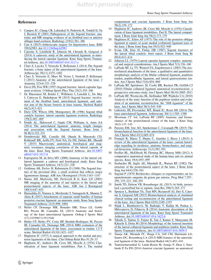#### **References**

- <span id="page-7-6"></span>1. [Campos JC, Chung CB, Lektrakul N, Pedowitz R, Trudell D, Yu](https://www.researchgate.net/publication/12013611_Pathogenesis_of_the_Segond_Fracture_Anatomic_and_MR_Imaging_Evidence_of_an_Iliotibial_Tract_or_Anterior_Oblique_Band_Avulsion1?el=1_x_8&enrichId=rgreq-c5b5f78d-22a7-4761-a289-79cf1e7a73a1&enrichSource=Y292ZXJQYWdlOzI4ODcwMDA5OTtBUzozMTMwNzM5NDI4OTI1NDRAMTQ1MTY1NDA1MjI2OA==) [J, Resnick D \(2001\) Pathogenesis of the Segond fracture: ana](https://www.researchgate.net/publication/12013611_Pathogenesis_of_the_Segond_Fracture_Anatomic_and_MR_Imaging_Evidence_of_an_Iliotibial_Tract_or_Anterior_Oblique_Band_Avulsion1?el=1_x_8&enrichId=rgreq-c5b5f78d-22a7-4761-a289-79cf1e7a73a1&enrichSource=Y292ZXJQYWdlOzI4ODcwMDA5OTtBUzozMTMwNzM5NDI4OTI1NDRAMTQ1MTY1NDA1MjI2OA==)[tomic and MR imaging evidence of an iliotibial tract or anterior](https://www.researchgate.net/publication/12013611_Pathogenesis_of_the_Segond_Fracture_Anatomic_and_MR_Imaging_Evidence_of_an_Iliotibial_Tract_or_Anterior_Oblique_Band_Avulsion1?el=1_x_8&enrichId=rgreq-c5b5f78d-22a7-4761-a289-79cf1e7a73a1&enrichSource=Y292ZXJQYWdlOzI4ODcwMDA5OTtBUzozMTMwNzM5NDI4OTI1NDRAMTQ1MTY1NDA1MjI2OA==) [oblique band avulsion. Radiology 219\(2\):381–386](https://www.researchgate.net/publication/12013611_Pathogenesis_of_the_Segond_Fracture_Anatomic_and_MR_Imaging_Evidence_of_an_Iliotibial_Tract_or_Anterior_Oblique_Band_Avulsion1?el=1_x_8&enrichId=rgreq-c5b5f78d-22a7-4761-a289-79cf1e7a73a1&enrichSource=Y292ZXJQYWdlOzI4ODcwMDA5OTtBUzozMTMwNzM5NDI4OTI1NDRAMTQ1MTY1NDA1MjI2OA==)
- <span id="page-7-31"></span>2. [Carr A \(2015\) Arthroscopic surgery for degenerative knee. BMJ](https://www.researchgate.net/publication/278786928_Arthroscopic_surgery_for_degenerative_knee?el=1_x_8&enrichId=rgreq-c5b5f78d-22a7-4761-a289-79cf1e7a73a1&enrichSource=Y292ZXJQYWdlOzI4ODcwMDA5OTtBUzozMTMwNzM5NDI4OTI1NDRAMTQ1MTY1NDA1MjI2OA==) [350:h2983. doi:1](https://www.researchgate.net/publication/278786928_Arthroscopic_surgery_for_degenerative_knee?el=1_x_8&enrichId=rgreq-c5b5f78d-22a7-4761-a289-79cf1e7a73a1&enrichSource=Y292ZXJQYWdlOzI4ODcwMDA5OTtBUzozMTMwNzM5NDI4OTI1NDRAMTQ1MTY1NDA1MjI2OA==)[0.1136/bmj.h2983](http://dx.doi.org/10.1136/bmj.h2983)
- <span id="page-7-10"></span>3. [Caterine S, Litchfield R, Johnson M, Chronik B, Getgood A](https://www.researchgate.net/publication/263098028_A_cadaveric_study_of_the_anterolateral_ligament_re-introducing_the_lateral_capsular_ligament?el=1_x_8&enrichId=rgreq-c5b5f78d-22a7-4761-a289-79cf1e7a73a1&enrichSource=Y292ZXJQYWdlOzI4ODcwMDA5OTtBUzozMTMwNzM5NDI4OTI1NDRAMTQ1MTY1NDA1MjI2OA==) [\(2014\) A cadaveric study of the anterolateral ligament: re-intro](https://www.researchgate.net/publication/263098028_A_cadaveric_study_of_the_anterolateral_ligament_re-introducing_the_lateral_capsular_ligament?el=1_x_8&enrichId=rgreq-c5b5f78d-22a7-4761-a289-79cf1e7a73a1&enrichSource=Y292ZXJQYWdlOzI4ODcwMDA5OTtBUzozMTMwNzM5NDI4OTI1NDRAMTQ1MTY1NDA1MjI2OA==)[ducing the lateral capsular ligament. Knee Surg Sports Trauma](https://www.researchgate.net/publication/263098028_A_cadaveric_study_of_the_anterolateral_ligament_re-introducing_the_lateral_capsular_ligament?el=1_x_8&enrichId=rgreq-c5b5f78d-22a7-4761-a289-79cf1e7a73a1&enrichSource=Y292ZXJQYWdlOzI4ODcwMDA5OTtBUzozMTMwNzM5NDI4OTI1NDRAMTQ1MTY1NDA1MjI2OA==)[tol Arthrosc. doi:1](https://www.researchgate.net/publication/263098028_A_cadaveric_study_of_the_anterolateral_ligament_re-introducing_the_lateral_capsular_ligament?el=1_x_8&enrichId=rgreq-c5b5f78d-22a7-4761-a289-79cf1e7a73a1&enrichSource=Y292ZXJQYWdlOzI4ODcwMDA5OTtBUzozMTMwNzM5NDI4OTI1NDRAMTQ1MTY1NDA1MjI2OA==)[0.1007/s00167-014-3117-z](http://dx.doi.org/10.1007/s00167-014-3117-z)
- <span id="page-7-7"></span>4. [Claes S, Luyckx T, Vereecke E, Bellemans J \(2014\) The Segond](https://www.researchgate.net/publication/264559896_The_Segond_Fracture_A_Bony_Injury_of_the_Anterolateral_Ligament_of_the_Knee?el=1_x_8&enrichId=rgreq-c5b5f78d-22a7-4761-a289-79cf1e7a73a1&enrichSource=Y292ZXJQYWdlOzI4ODcwMDA5OTtBUzozMTMwNzM5NDI4OTI1NDRAMTQ1MTY1NDA1MjI2OA==) [fracture: a bony injury of the anterolateral ligament of the knee.](https://www.researchgate.net/publication/264559896_The_Segond_Fracture_A_Bony_Injury_of_the_Anterolateral_Ligament_of_the_Knee?el=1_x_8&enrichId=rgreq-c5b5f78d-22a7-4761-a289-79cf1e7a73a1&enrichSource=Y292ZXJQYWdlOzI4ODcwMDA5OTtBUzozMTMwNzM5NDI4OTI1NDRAMTQ1MTY1NDA1MjI2OA==) [Arthroscopy 30\(11\):1475–1482](https://www.researchgate.net/publication/264559896_The_Segond_Fracture_A_Bony_Injury_of_the_Anterolateral_Ligament_of_the_Knee?el=1_x_8&enrichId=rgreq-c5b5f78d-22a7-4761-a289-79cf1e7a73a1&enrichSource=Y292ZXJQYWdlOzI4ODcwMDA5OTtBUzozMTMwNzM5NDI4OTI1NDRAMTQ1MTY1NDA1MjI2OA==)
- <span id="page-7-3"></span>5. [Claes S, Vereecke E, Maes M, Victor J, Verdonk P, Bellemans](https://www.researchgate.net/publication/254263479_Anatomy_of_the_anterolateral_ligament_of_the_knee_J_Anat?el=1_x_8&enrichId=rgreq-c5b5f78d-22a7-4761-a289-79cf1e7a73a1&enrichSource=Y292ZXJQYWdlOzI4ODcwMDA5OTtBUzozMTMwNzM5NDI4OTI1NDRAMTQ1MTY1NDA1MjI2OA==) [J \(2013\) Anatomy of the anterolateral ligament of the knee. J](https://www.researchgate.net/publication/254263479_Anatomy_of_the_anterolateral_ligament_of_the_knee_J_Anat?el=1_x_8&enrichId=rgreq-c5b5f78d-22a7-4761-a289-79cf1e7a73a1&enrichSource=Y292ZXJQYWdlOzI4ODcwMDA5OTtBUzozMTMwNzM5NDI4OTI1NDRAMTQ1MTY1NDA1MjI2OA==) [Anatomy 223\(4\):321–328](https://www.researchgate.net/publication/254263479_Anatomy_of_the_anterolateral_ligament_of_the_knee_J_Anat?el=1_x_8&enrichId=rgreq-c5b5f78d-22a7-4761-a289-79cf1e7a73a1&enrichSource=Y292ZXJQYWdlOzI4ODcwMDA5OTtBUzozMTMwNzM5NDI4OTI1NDRAMTQ1MTY1NDA1MjI2OA==)
- <span id="page-7-20"></span>6. [Davis DS, Post WR \(1997\) Segond fracture: lateral capsular liga](https://www.researchgate.net/publication/14200426_Segond_Fracture_Lateral_Capsular_Ligament_Avulsion?el=1_x_8&enrichId=rgreq-c5b5f78d-22a7-4761-a289-79cf1e7a73a1&enrichSource=Y292ZXJQYWdlOzI4ODcwMDA5OTtBUzozMTMwNzM5NDI4OTI1NDRAMTQ1MTY1NDA1MjI2OA==)[ment avulsion. J Orthop Sports Phys Ther 25\(2\):103–106](https://www.researchgate.net/publication/14200426_Segond_Fracture_Lateral_Capsular_Ligament_Avulsion?el=1_x_8&enrichId=rgreq-c5b5f78d-22a7-4761-a289-79cf1e7a73a1&enrichSource=Y292ZXJQYWdlOzI4ODcwMDA5OTtBUzozMTMwNzM5NDI4OTI1NDRAMTQ1MTY1NDA1MjI2OA==)
- <span id="page-7-33"></span>7. [De Maeseneer M, Boulet C, Willekens I, Lenchik L, De Mey](https://www.researchgate.net/publication/269172854_Segond_fracture_involvement_of_the_iliotibial_band_anterolateral_ligament_and_anterior_arm_of_the_biceps_femoris_in_knee_trauma?el=1_x_8&enrichId=rgreq-c5b5f78d-22a7-4761-a289-79cf1e7a73a1&enrichSource=Y292ZXJQYWdlOzI4ODcwMDA5OTtBUzozMTMwNzM5NDI4OTI1NDRAMTQ1MTY1NDA1MjI2OA==) [J, Cattrysse E, Shahabpour M \(2015\) Segond fracture: involve](https://www.researchgate.net/publication/269172854_Segond_fracture_involvement_of_the_iliotibial_band_anterolateral_ligament_and_anterior_arm_of_the_biceps_femoris_in_knee_trauma?el=1_x_8&enrichId=rgreq-c5b5f78d-22a7-4761-a289-79cf1e7a73a1&enrichSource=Y292ZXJQYWdlOzI4ODcwMDA5OTtBUzozMTMwNzM5NDI4OTI1NDRAMTQ1MTY1NDA1MjI2OA==)[ment of the iliotibial band, anterolateral ligament, and ante](https://www.researchgate.net/publication/269172854_Segond_fracture_involvement_of_the_iliotibial_band_anterolateral_ligament_and_anterior_arm_of_the_biceps_femoris_in_knee_trauma?el=1_x_8&enrichId=rgreq-c5b5f78d-22a7-4761-a289-79cf1e7a73a1&enrichSource=Y292ZXJQYWdlOzI4ODcwMDA5OTtBUzozMTMwNzM5NDI4OTI1NDRAMTQ1MTY1NDA1MjI2OA==)[rior arm of the biceps femoris in knee trauma. Skeletal Radiol](https://www.researchgate.net/publication/269172854_Segond_fracture_involvement_of_the_iliotibial_band_anterolateral_ligament_and_anterior_arm_of_the_biceps_femoris_in_knee_trauma?el=1_x_8&enrichId=rgreq-c5b5f78d-22a7-4761-a289-79cf1e7a73a1&enrichSource=Y292ZXJQYWdlOzI4ODcwMDA5OTtBUzozMTMwNzM5NDI4OTI1NDRAMTQ1MTY1NDA1MjI2OA==) [44\(3\):413–421](https://www.researchgate.net/publication/269172854_Segond_fracture_involvement_of_the_iliotibial_band_anterolateral_ligament_and_anterior_arm_of_the_biceps_femoris_in_knee_trauma?el=1_x_8&enrichId=rgreq-c5b5f78d-22a7-4761-a289-79cf1e7a73a1&enrichSource=Y292ZXJQYWdlOzI4ODcwMDA5OTtBUzozMTMwNzM5NDI4OTI1NDRAMTQ1MTY1NDA1MjI2OA==)
- <span id="page-7-21"></span>8. [Dietz GW, Wilcox DM, Montgomery JB \(1986\) Segond tibial](https://www.researchgate.net/publication/19201120_Segond_tibial_condyle_fracture_Lateral_capsular_ligament_avulsion?el=1_x_8&enrichId=rgreq-c5b5f78d-22a7-4761-a289-79cf1e7a73a1&enrichSource=Y292ZXJQYWdlOzI4ODcwMDA5OTtBUzozMTMwNzM5NDI4OTI1NDRAMTQ1MTY1NDA1MjI2OA==) [condyle fracture: lateral capsular ligament avulsion. Radiology](https://www.researchgate.net/publication/19201120_Segond_tibial_condyle_fracture_Lateral_capsular_ligament_avulsion?el=1_x_8&enrichId=rgreq-c5b5f78d-22a7-4761-a289-79cf1e7a73a1&enrichSource=Y292ZXJQYWdlOzI4ODcwMDA5OTtBUzozMTMwNzM5NDI4OTI1NDRAMTQ1MTY1NDA1MjI2OA==) [159\(2\):467–469](https://www.researchgate.net/publication/19201120_Segond_tibial_condyle_fracture_Lateral_capsular_ligament_avulsion?el=1_x_8&enrichId=rgreq-c5b5f78d-22a7-4761-a289-79cf1e7a73a1&enrichSource=Y292ZXJQYWdlOzI4ODcwMDA5OTtBUzozMTMwNzM5NDI4OTI1NDRAMTQ1MTY1NDA1MjI2OA==)
- <span id="page-7-0"></span>9. [Dodds AL, Halewood C, Gupte CM, Williams A, Amis AA](https://www.researchgate.net/publication/260484948_The_anterolateral_ligament_Anatomy_length_changes_and_association_with_the_Segond_fracture?el=1_x_8&enrichId=rgreq-c5b5f78d-22a7-4761-a289-79cf1e7a73a1&enrichSource=Y292ZXJQYWdlOzI4ODcwMDA5OTtBUzozMTMwNzM5NDI4OTI1NDRAMTQ1MTY1NDA1MjI2OA==) [\(2014\) The anterolateral ligament: anatomy, length changes](https://www.researchgate.net/publication/260484948_The_anterolateral_ligament_Anatomy_length_changes_and_association_with_the_Segond_fracture?el=1_x_8&enrichId=rgreq-c5b5f78d-22a7-4761-a289-79cf1e7a73a1&enrichSource=Y292ZXJQYWdlOzI4ODcwMDA5OTtBUzozMTMwNzM5NDI4OTI1NDRAMTQ1MTY1NDA1MjI2OA==) [and association with the Segond fracture. Bone Joint J](https://www.researchgate.net/publication/260484948_The_anterolateral_ligament_Anatomy_length_changes_and_association_with_the_Segond_fracture?el=1_x_8&enrichId=rgreq-c5b5f78d-22a7-4761-a289-79cf1e7a73a1&enrichSource=Y292ZXJQYWdlOzI4ODcwMDA5OTtBUzozMTMwNzM5NDI4OTI1NDRAMTQ1MTY1NDA1MjI2OA==) [96-B\(3\):325–331](https://www.researchgate.net/publication/260484948_The_anterolateral_ligament_Anatomy_length_changes_and_association_with_the_Segond_fracture?el=1_x_8&enrichId=rgreq-c5b5f78d-22a7-4761-a289-79cf1e7a73a1&enrichSource=Y292ZXJQYWdlOzI4ODcwMDA5OTtBUzozMTMwNzM5NDI4OTI1NDRAMTQ1MTY1NDA1MjI2OA==)
- <span id="page-7-34"></span>10. [Dombrowski ME, Costello JM, Ohashi B, Murawski CD,](https://www.researchgate.net/publication/272075956_Macroscopic_anatomical_histological_and_magnetic_resonance_imaging_correlation_of_the_lateral_capsule_of_the_knee?el=1_x_8&enrichId=rgreq-c5b5f78d-22a7-4761-a289-79cf1e7a73a1&enrichSource=Y292ZXJQYWdlOzI4ODcwMDA5OTtBUzozMTMwNzM5NDI4OTI1NDRAMTQ1MTY1NDA1MjI2OA==) [Rothrauff BB, Arilla FV, Friel NA, Fu FH, Debski RE, Musahl](https://www.researchgate.net/publication/272075956_Macroscopic_anatomical_histological_and_magnetic_resonance_imaging_correlation_of_the_lateral_capsule_of_the_knee?el=1_x_8&enrichId=rgreq-c5b5f78d-22a7-4761-a289-79cf1e7a73a1&enrichSource=Y292ZXJQYWdlOzI4ODcwMDA5OTtBUzozMTMwNzM5NDI4OTI1NDRAMTQ1MTY1NDA1MjI2OA==) [V \(2015\) Macroscopic anatomical, histological and mag](https://www.researchgate.net/publication/272075956_Macroscopic_anatomical_histological_and_magnetic_resonance_imaging_correlation_of_the_lateral_capsule_of_the_knee?el=1_x_8&enrichId=rgreq-c5b5f78d-22a7-4761-a289-79cf1e7a73a1&enrichSource=Y292ZXJQYWdlOzI4ODcwMDA5OTtBUzozMTMwNzM5NDI4OTI1NDRAMTQ1MTY1NDA1MjI2OA==)[netic resonance imaging correlation of the lateral capsule of](https://www.researchgate.net/publication/272075956_Macroscopic_anatomical_histological_and_magnetic_resonance_imaging_correlation_of_the_lateral_capsule_of_the_knee?el=1_x_8&enrichId=rgreq-c5b5f78d-22a7-4761-a289-79cf1e7a73a1&enrichSource=Y292ZXJQYWdlOzI4ODcwMDA5OTtBUzozMTMwNzM5NDI4OTI1NDRAMTQ1MTY1NDA1MjI2OA==) [the knee. Knee Surg Sports Traumatol Arthrosc. doi:](https://www.researchgate.net/publication/272075956_Macroscopic_anatomical_histological_and_magnetic_resonance_imaging_correlation_of_the_lateral_capsule_of_the_knee?el=1_x_8&enrichId=rgreq-c5b5f78d-22a7-4761-a289-79cf1e7a73a1&enrichSource=Y292ZXJQYWdlOzI4ODcwMDA5OTtBUzozMTMwNzM5NDI4OTI1NDRAMTQ1MTY1NDA1MjI2OA==)[10.1007/](http://dx.doi.org/10.1007/s00167-015-3517-8) [s00167-015-3517-8](http://dx.doi.org/10.1007/s00167-015-3517-8)
- <span id="page-7-28"></span>11. [Espregueira M, da Silva MV \(2006\) Anatomy of the lateral col](https://www.researchgate.net/publication/7546475_Anatomy_of_the_lateral_collateral_ligament_A_cadaver_and_histological_study?el=1_x_8&enrichId=rgreq-c5b5f78d-22a7-4761-a289-79cf1e7a73a1&enrichSource=Y292ZXJQYWdlOzI4ODcwMDA5OTtBUzozMTMwNzM5NDI4OTI1NDRAMTQ1MTY1NDA1MjI2OA==)[lateral ligament: a cadaver and histological study. Knee Surg](https://www.researchgate.net/publication/7546475_Anatomy_of_the_lateral_collateral_ligament_A_cadaver_and_histological_study?el=1_x_8&enrichId=rgreq-c5b5f78d-22a7-4761-a289-79cf1e7a73a1&enrichSource=Y292ZXJQYWdlOzI4ODcwMDA5OTtBUzozMTMwNzM5NDI4OTI1NDRAMTQ1MTY1NDA1MjI2OA==) [Sports Traumatol Arthrosc 14\(3\):221–228](https://www.researchgate.net/publication/7546475_Anatomy_of_the_lateral_collateral_ligament_A_cadaver_and_histological_study?el=1_x_8&enrichId=rgreq-c5b5f78d-22a7-4761-a289-79cf1e7a73a1&enrichSource=Y292ZXJQYWdlOzI4ODcwMDA5OTtBUzozMTMwNzM5NDI4OTI1NDRAMTQ1MTY1NDA1MjI2OA==)
- <span id="page-7-8"></span>12. [Goldman AB, Pavlov H, Rubenstein D \(1988\) The Segond frac](https://www.researchgate.net/publication/19892079_The_Segond_fracture_of_the_proximal_tibia_A_small_avulsion_that_reflects_major_ligamentous_damage?el=1_x_8&enrichId=rgreq-c5b5f78d-22a7-4761-a289-79cf1e7a73a1&enrichSource=Y292ZXJQYWdlOzI4ODcwMDA5OTtBUzozMTMwNzM5NDI4OTI1NDRAMTQ1MTY1NDA1MjI2OA==)[ture of the proximal tibia: a small avulsion that reflects major](https://www.researchgate.net/publication/19892079_The_Segond_fracture_of_the_proximal_tibia_A_small_avulsion_that_reflects_major_ligamentous_damage?el=1_x_8&enrichId=rgreq-c5b5f78d-22a7-4761-a289-79cf1e7a73a1&enrichSource=Y292ZXJQYWdlOzI4ODcwMDA5OTtBUzozMTMwNzM5NDI4OTI1NDRAMTQ1MTY1NDA1MjI2OA==) [ligamentous damage. AJR Am J Roentgenol 151\(6\):1163–1167](https://www.researchgate.net/publication/19892079_The_Segond_fracture_of_the_proximal_tibia_A_small_avulsion_that_reflects_major_ligamentous_damage?el=1_x_8&enrichId=rgreq-c5b5f78d-22a7-4761-a289-79cf1e7a73a1&enrichSource=Y292ZXJQYWdlOzI4ODcwMDA5OTtBUzozMTMwNzM5NDI4OTI1NDRAMTQ1MTY1NDA1MjI2OA==)
- <span id="page-7-24"></span>13. [Haims AH, Medvecky MJ, Pavlovich R Jr, Katz LD \(2003\)](https://www.researchgate.net/publication/10895425_MR_Imaging_of_the_Anatomy_of_and_Injuries_to_the_Lateral_and_Posterolateral_Aspects_of_the_Knee?el=1_x_8&enrichId=rgreq-c5b5f78d-22a7-4761-a289-79cf1e7a73a1&enrichSource=Y292ZXJQYWdlOzI4ODcwMDA5OTtBUzozMTMwNzM5NDI4OTI1NDRAMTQ1MTY1NDA1MjI2OA==) [MR imaging of the anatomy of and injuries to the lateral and](https://www.researchgate.net/publication/10895425_MR_Imaging_of_the_Anatomy_of_and_Injuries_to_the_Lateral_and_Posterolateral_Aspects_of_the_Knee?el=1_x_8&enrichId=rgreq-c5b5f78d-22a7-4761-a289-79cf1e7a73a1&enrichSource=Y292ZXJQYWdlOzI4ODcwMDA5OTtBUzozMTMwNzM5NDI4OTI1NDRAMTQ1MTY1NDA1MjI2OA==) [posterolateral aspects of the knee. AJR Am J Roentgenol](https://www.researchgate.net/publication/10895425_MR_Imaging_of_the_Anatomy_of_and_Injuries_to_the_Lateral_and_Posterolateral_Aspects_of_the_Knee?el=1_x_8&enrichId=rgreq-c5b5f78d-22a7-4761-a289-79cf1e7a73a1&enrichSource=Y292ZXJQYWdlOzI4ODcwMDA5OTtBUzozMTMwNzM5NDI4OTI1NDRAMTQ1MTY1NDA1MjI2OA==) [180\(3\):647–653](https://www.researchgate.net/publication/10895425_MR_Imaging_of_the_Anatomy_of_and_Injuries_to_the_Lateral_and_Posterolateral_Aspects_of_the_Knee?el=1_x_8&enrichId=rgreq-c5b5f78d-22a7-4761-a289-79cf1e7a73a1&enrichSource=Y292ZXJQYWdlOzI4ODcwMDA5OTtBUzozMTMwNzM5NDI4OTI1NDRAMTQ1MTY1NDA1MjI2OA==)
- <span id="page-7-30"></span>14. [Hatsushika D, Nimura A, Mochizuki T, Yamaguchi K, Muneta T,](https://www.researchgate.net/publication/232228847_Attachments_of_separate_small_bundles_of_human_posterior_cruciate_ligament_An_anatomic_study?el=1_x_8&enrichId=rgreq-c5b5f78d-22a7-4761-a289-79cf1e7a73a1&enrichSource=Y292ZXJQYWdlOzI4ODcwMDA5OTtBUzozMTMwNzM5NDI4OTI1NDRAMTQ1MTY1NDA1MjI2OA==) [Akita K \(2013\) Attachments of separate small bundles of human](https://www.researchgate.net/publication/232228847_Attachments_of_separate_small_bundles_of_human_posterior_cruciate_ligament_An_anatomic_study?el=1_x_8&enrichId=rgreq-c5b5f78d-22a7-4761-a289-79cf1e7a73a1&enrichSource=Y292ZXJQYWdlOzI4ODcwMDA5OTtBUzozMTMwNzM5NDI4OTI1NDRAMTQ1MTY1NDA1MjI2OA==) [posterior cruciate ligament: an anatomic study. Knee Surg Sports](https://www.researchgate.net/publication/232228847_Attachments_of_separate_small_bundles_of_human_posterior_cruciate_ligament_An_anatomic_study?el=1_x_8&enrichId=rgreq-c5b5f78d-22a7-4761-a289-79cf1e7a73a1&enrichSource=Y292ZXJQYWdlOzI4ODcwMDA5OTtBUzozMTMwNzM5NDI4OTI1NDRAMTQ1MTY1NDA1MjI2OA==) [Traumatol Arthrosc 21\(5\):998–1004](https://www.researchgate.net/publication/232228847_Attachments_of_separate_small_bundles_of_human_posterior_cruciate_ligament_An_anatomic_study?el=1_x_8&enrichId=rgreq-c5b5f78d-22a7-4761-a289-79cf1e7a73a1&enrichSource=Y292ZXJQYWdlOzI4ODcwMDA5OTtBUzozMTMwNzM5NDI4OTI1NDRAMTQ1MTY1NDA1MjI2OA==)
- <span id="page-7-13"></span>15. Helito CP, Demange MK, Bonadio MB, Tirico LE, Gobbi RG, Pécora JR, Camanho GL (2013) Anatomy and histology of the knee anterolateral ligament. Orthop J Sports Med 1(7):2325967113513546
- <span id="page-7-1"></span>16. [Helito CP, Helito PV, Costa HP, Bordalo-Rodrigues M, Pecora](https://www.researchgate.net/publication/264432050_MRI_evaluation_of_the_anterolateral_ligament_of_the_knee_Assessment_in_routine_15-T_scans?el=1_x_8&enrichId=rgreq-c5b5f78d-22a7-4761-a289-79cf1e7a73a1&enrichSource=Y292ZXJQYWdlOzI4ODcwMDA5OTtBUzozMTMwNzM5NDI4OTI1NDRAMTQ1MTY1NDA1MjI2OA==) [JR, Camanho GL, Demange MK \(2014\) MRI evaluation of the](https://www.researchgate.net/publication/264432050_MRI_evaluation_of_the_anterolateral_ligament_of_the_knee_Assessment_in_routine_15-T_scans?el=1_x_8&enrichId=rgreq-c5b5f78d-22a7-4761-a289-79cf1e7a73a1&enrichSource=Y292ZXJQYWdlOzI4ODcwMDA5OTtBUzozMTMwNzM5NDI4OTI1NDRAMTQ1MTY1NDA1MjI2OA==) [anterolateral ligament of the knee: assessment in routine 1.5-T](https://www.researchgate.net/publication/264432050_MRI_evaluation_of_the_anterolateral_ligament_of_the_knee_Assessment_in_routine_15-T_scans?el=1_x_8&enrichId=rgreq-c5b5f78d-22a7-4761-a289-79cf1e7a73a1&enrichSource=Y292ZXJQYWdlOzI4ODcwMDA5OTtBUzozMTMwNzM5NDI4OTI1NDRAMTQ1MTY1NDA1MjI2OA==) [scans. Skeletal Radiol 43\(10\):1421–1427](https://www.researchgate.net/publication/264432050_MRI_evaluation_of_the_anterolateral_ligament_of_the_knee_Assessment_in_routine_15-T_scans?el=1_x_8&enrichId=rgreq-c5b5f78d-22a7-4761-a289-79cf1e7a73a1&enrichSource=Y292ZXJQYWdlOzI4ODcwMDA5OTtBUzozMTMwNzM5NDI4OTI1NDRAMTQ1MTY1NDA1MjI2OA==)
- <span id="page-7-14"></span>17. [Hughston JC \(1973\) A surgical approach to the medial and pos](https://www.researchgate.net/publication/18428427_A_Surgical_Approach_to_the_Medial_and_Posterior_Ligaments_of_the_Knee?el=1_x_8&enrichId=rgreq-c5b5f78d-22a7-4761-a289-79cf1e7a73a1&enrichSource=Y292ZXJQYWdlOzI4ODcwMDA5OTtBUzozMTMwNzM5NDI4OTI1NDRAMTQ1MTY1NDA1MjI2OA==)[terior ligaments of the knee. Clin Orthop Relat Res 91:29–33](https://www.researchgate.net/publication/18428427_A_Surgical_Approach_to_the_Medial_and_Posterior_Ligaments_of_the_Knee?el=1_x_8&enrichId=rgreq-c5b5f78d-22a7-4761-a289-79cf1e7a73a1&enrichSource=Y292ZXJQYWdlOzI4ODcwMDA5OTtBUzozMTMwNzM5NDI4OTI1NDRAMTQ1MTY1NDA1MjI2OA==)
- 18. [Hughston JC, Andrews JR, Cross MJ, Moschi A \(1976\) Clas](https://www.researchgate.net/publication/21900320_Classification_of_knee_ligament_instabilities_Part_I_The_medial_compartment_and_cruciate_ligaments_J_Bone_Joint_Surg_Am?el=1_x_8&enrichId=rgreq-c5b5f78d-22a7-4761-a289-79cf1e7a73a1&enrichSource=Y292ZXJQYWdlOzI4ODcwMDA5OTtBUzozMTMwNzM5NDI4OTI1NDRAMTQ1MTY1NDA1MjI2OA==)[sification of knee ligament instabilities. Part I. The medial](https://www.researchgate.net/publication/21900320_Classification_of_knee_ligament_instabilities_Part_I_The_medial_compartment_and_cruciate_ligaments_J_Bone_Joint_Surg_Am?el=1_x_8&enrichId=rgreq-c5b5f78d-22a7-4761-a289-79cf1e7a73a1&enrichSource=Y292ZXJQYWdlOzI4ODcwMDA5OTtBUzozMTMwNzM5NDI4OTI1NDRAMTQ1MTY1NDA1MjI2OA==)

[compartment and cruciate ligaments. J Bone Joint Surg Am](https://www.researchgate.net/publication/21900320_Classification_of_knee_ligament_instabilities_Part_I_The_medial_compartment_and_cruciate_ligaments_J_Bone_Joint_Surg_Am?el=1_x_8&enrichId=rgreq-c5b5f78d-22a7-4761-a289-79cf1e7a73a1&enrichSource=Y292ZXJQYWdlOzI4ODcwMDA5OTtBUzozMTMwNzM5NDI4OTI1NDRAMTQ1MTY1NDA1MjI2OA==) [58\(2\):159–172](https://www.researchgate.net/publication/21900320_Classification_of_knee_ligament_instabilities_Part_I_The_medial_compartment_and_cruciate_ligaments_J_Bone_Joint_Surg_Am?el=1_x_8&enrichId=rgreq-c5b5f78d-22a7-4761-a289-79cf1e7a73a1&enrichSource=Y292ZXJQYWdlOzI4ODcwMDA5OTtBUzozMTMwNzM5NDI4OTI1NDRAMTQ1MTY1NDA1MjI2OA==)

- <span id="page-7-22"></span>19. [Hughston JC, Andrews JR, Cross MJ, Moschi A \(1976\) Classifi](https://www.researchgate.net/publication/21900321_Classification_of_knee_ligament_instabilities_Part_II_The_lateral_compartment_J_Bone_Joint_Surg_Am?el=1_x_8&enrichId=rgreq-c5b5f78d-22a7-4761-a289-79cf1e7a73a1&enrichSource=Y292ZXJQYWdlOzI4ODcwMDA5OTtBUzozMTMwNzM5NDI4OTI1NDRAMTQ1MTY1NDA1MjI2OA==)[cation of knee ligament instabilities. Part II. The lateral compart](https://www.researchgate.net/publication/21900321_Classification_of_knee_ligament_instabilities_Part_II_The_lateral_compartment_J_Bone_Joint_Surg_Am?el=1_x_8&enrichId=rgreq-c5b5f78d-22a7-4761-a289-79cf1e7a73a1&enrichSource=Y292ZXJQYWdlOzI4ODcwMDA5OTtBUzozMTMwNzM5NDI4OTI1NDRAMTQ1MTY1NDA1MjI2OA==)[ment. J Bone Joint Surg Am 58\(2\):173–179](https://www.researchgate.net/publication/21900321_Classification_of_knee_ligament_instabilities_Part_II_The_lateral_compartment_J_Bone_Joint_Surg_Am?el=1_x_8&enrichId=rgreq-c5b5f78d-22a7-4761-a289-79cf1e7a73a1&enrichSource=Y292ZXJQYWdlOzI4ODcwMDA5OTtBUzozMTMwNzM5NDI4OTI1NDRAMTQ1MTY1NDA1MjI2OA==)
- <span id="page-7-15"></span>20. [Hughston JC, Eilers AF \(1973\) The role of the posterior oblique](https://www.researchgate.net/publication/18408619_Hughston_JC_Eilers_AF_The_role_of_the_posterior_oblique_ligament_in_repairs_of_acute_medial_collateral_ligament_tears_of_the_knee?el=1_x_8&enrichId=rgreq-c5b5f78d-22a7-4761-a289-79cf1e7a73a1&enrichSource=Y292ZXJQYWdlOzI4ODcwMDA5OTtBUzozMTMwNzM5NDI4OTI1NDRAMTQ1MTY1NDA1MjI2OA==) [ligament in repairs of acute medial \(collateral\) ligament tears of](https://www.researchgate.net/publication/18408619_Hughston_JC_Eilers_AF_The_role_of_the_posterior_oblique_ligament_in_repairs_of_acute_medial_collateral_ligament_tears_of_the_knee?el=1_x_8&enrichId=rgreq-c5b5f78d-22a7-4761-a289-79cf1e7a73a1&enrichSource=Y292ZXJQYWdlOzI4ODcwMDA5OTtBUzozMTMwNzM5NDI4OTI1NDRAMTQ1MTY1NDA1MjI2OA==) [the knee. J Bone Joint Surg Am 55\(5\):923–940](https://www.researchgate.net/publication/18408619_Hughston_JC_Eilers_AF_The_role_of_the_posterior_oblique_ligament_in_repairs_of_acute_medial_collateral_ligament_tears_of_the_knee?el=1_x_8&enrichId=rgreq-c5b5f78d-22a7-4761-a289-79cf1e7a73a1&enrichSource=Y292ZXJQYWdlOzI4ODcwMDA5OTtBUzozMTMwNzM5NDI4OTI1NDRAMTQ1MTY1NDA1MjI2OA==)
- <span id="page-7-25"></span>21. [Irvine GB, Dias JJ, Finlay DB \(1987\) Segond fractures of](https://www.researchgate.net/publication/19551099_Segond_fractures_of_the_lateral_tibial_condyle_Brief_report?el=1_x_8&enrichId=rgreq-c5b5f78d-22a7-4761-a289-79cf1e7a73a1&enrichSource=Y292ZXJQYWdlOzI4ODcwMDA5OTtBUzozMTMwNzM5NDI4OTI1NDRAMTQ1MTY1NDA1MjI2OA==) [the lateral tibial condyle: brief report. J Bone Joint Surg Br](https://www.researchgate.net/publication/19551099_Segond_fractures_of_the_lateral_tibial_condyle_Brief_report?el=1_x_8&enrichId=rgreq-c5b5f78d-22a7-4761-a289-79cf1e7a73a1&enrichSource=Y292ZXJQYWdlOzI4ODcwMDA5OTtBUzozMTMwNzM5NDI4OTI1NDRAMTQ1MTY1NDA1MjI2OA==) [69\(4\):613–614](https://www.researchgate.net/publication/19551099_Segond_fractures_of_the_lateral_tibial_condyle_Brief_report?el=1_x_8&enrichId=rgreq-c5b5f78d-22a7-4761-a289-79cf1e7a73a1&enrichSource=Y292ZXJQYWdlOzI4ODcwMDA5OTtBUzozMTMwNzM5NDI4OTI1NDRAMTQ1MTY1NDA1MjI2OA==)
- <span id="page-7-23"></span>22. [Johnson LL \(1979\) Lateral capsular ligament complex: anatomi](https://www.researchgate.net/publication/245789666_Lateral_capsular_ligament_complex_Anatomical_and_surgical_considerations?el=1_x_8&enrichId=rgreq-c5b5f78d-22a7-4761-a289-79cf1e7a73a1&enrichSource=Y292ZXJQYWdlOzI4ODcwMDA5OTtBUzozMTMwNzM5NDI4OTI1NDRAMTQ1MTY1NDA1MjI2OA==)[cal and surgical considerations. Am J Sports Med 7\(3\):156–160](https://www.researchgate.net/publication/245789666_Lateral_capsular_ligament_complex_Anatomical_and_surgical_considerations?el=1_x_8&enrichId=rgreq-c5b5f78d-22a7-4761-a289-79cf1e7a73a1&enrichSource=Y292ZXJQYWdlOzI4ODcwMDA5OTtBUzozMTMwNzM5NDI4OTI1NDRAMTQ1MTY1NDA1MjI2OA==)
- <span id="page-7-17"></span>23. [LaPrade RF, Ly TV, Wentorf FA, Engebretsen L \(2003\) The pos](https://www.researchgate.net/publication/9002935_The_Posterolateral_Attachments_of_the_Knee_A_Qualitative_and_Quantitative_Morphologic_Analysis_of_the_Fibular_Collateral_Ligament_Popliteus_Tendon_Popliteofibular_Ligament_and_Lateral_Gastrocnemius_Te?el=1_x_8&enrichId=rgreq-c5b5f78d-22a7-4761-a289-79cf1e7a73a1&enrichSource=Y292ZXJQYWdlOzI4ODcwMDA5OTtBUzozMTMwNzM5NDI4OTI1NDRAMTQ1MTY1NDA1MjI2OA==)[terolateral attachments of the knee: a qualitative and quantitative](https://www.researchgate.net/publication/9002935_The_Posterolateral_Attachments_of_the_Knee_A_Qualitative_and_Quantitative_Morphologic_Analysis_of_the_Fibular_Collateral_Ligament_Popliteus_Tendon_Popliteofibular_Ligament_and_Lateral_Gastrocnemius_Te?el=1_x_8&enrichId=rgreq-c5b5f78d-22a7-4761-a289-79cf1e7a73a1&enrichSource=Y292ZXJQYWdlOzI4ODcwMDA5OTtBUzozMTMwNzM5NDI4OTI1NDRAMTQ1MTY1NDA1MjI2OA==) [morphologic analysis of the fibular collateral ligament, popliteus](https://www.researchgate.net/publication/9002935_The_Posterolateral_Attachments_of_the_Knee_A_Qualitative_and_Quantitative_Morphologic_Analysis_of_the_Fibular_Collateral_Ligament_Popliteus_Tendon_Popliteofibular_Ligament_and_Lateral_Gastrocnemius_Te?el=1_x_8&enrichId=rgreq-c5b5f78d-22a7-4761-a289-79cf1e7a73a1&enrichSource=Y292ZXJQYWdlOzI4ODcwMDA5OTtBUzozMTMwNzM5NDI4OTI1NDRAMTQ1MTY1NDA1MjI2OA==) [tendon, popliteofibular ligament, and lateral gastrocnemius ten](https://www.researchgate.net/publication/9002935_The_Posterolateral_Attachments_of_the_Knee_A_Qualitative_and_Quantitative_Morphologic_Analysis_of_the_Fibular_Collateral_Ligament_Popliteus_Tendon_Popliteofibular_Ligament_and_Lateral_Gastrocnemius_Te?el=1_x_8&enrichId=rgreq-c5b5f78d-22a7-4761-a289-79cf1e7a73a1&enrichSource=Y292ZXJQYWdlOzI4ODcwMDA5OTtBUzozMTMwNzM5NDI4OTI1NDRAMTQ1MTY1NDA1MjI2OA==)[don. Am J Sports Med 31\(6\):854–860](https://www.researchgate.net/publication/9002935_The_Posterolateral_Attachments_of_the_Knee_A_Qualitative_and_Quantitative_Morphologic_Analysis_of_the_Fibular_Collateral_Ligament_Popliteus_Tendon_Popliteofibular_Ligament_and_Lateral_Gastrocnemius_Te?el=1_x_8&enrichId=rgreq-c5b5f78d-22a7-4761-a289-79cf1e7a73a1&enrichSource=Y292ZXJQYWdlOzI4ODcwMDA5OTtBUzozMTMwNzM5NDI4OTI1NDRAMTQ1MTY1NDA1MjI2OA==)
- 24. [LaPrade RF, Spiridonov SI, Coobs BR, Ruckert PR, Griffith CJ](https://www.researchgate.net/publication/44902039_Fibular_Collateral_Ligament_Anatomical_Reconstructions_A_Prospective_Outcomes_Study?el=1_x_8&enrichId=rgreq-c5b5f78d-22a7-4761-a289-79cf1e7a73a1&enrichSource=Y292ZXJQYWdlOzI4ODcwMDA5OTtBUzozMTMwNzM5NDI4OTI1NDRAMTQ1MTY1NDA1MjI2OA==) [\(2010\) Fibular collateral ligament anatomical reconstructions: a](https://www.researchgate.net/publication/44902039_Fibular_Collateral_Ligament_Anatomical_Reconstructions_A_Prospective_Outcomes_Study?el=1_x_8&enrichId=rgreq-c5b5f78d-22a7-4761-a289-79cf1e7a73a1&enrichSource=Y292ZXJQYWdlOzI4ODcwMDA5OTtBUzozMTMwNzM5NDI4OTI1NDRAMTQ1MTY1NDA1MjI2OA==) [prospective outcomes study. Am J Sports Med 38\(10\):2005–2011](https://www.researchgate.net/publication/44902039_Fibular_Collateral_Ligament_Anatomical_Reconstructions_A_Prospective_Outcomes_Study?el=1_x_8&enrichId=rgreq-c5b5f78d-22a7-4761-a289-79cf1e7a73a1&enrichSource=Y292ZXJQYWdlOzI4ODcwMDA5OTtBUzozMTMwNzM5NDI4OTI1NDRAMTQ1MTY1NDA1MjI2OA==)
- <span id="page-7-18"></span>25. [LaPrade RF, Wozniczka JK, Stellmaker MP, Wijdicks CA \(2010\)](https://www.researchgate.net/publication/40819532_Analysis_of_the_Static_Function_of_the_Popliteus_Tendon_and_Evaluation_of_an_Anatomic_Reconstruction_The_Fifth_Ligament_of_the_Knee?el=1_x_8&enrichId=rgreq-c5b5f78d-22a7-4761-a289-79cf1e7a73a1&enrichSource=Y292ZXJQYWdlOzI4ODcwMDA5OTtBUzozMTMwNzM5NDI4OTI1NDRAMTQ1MTY1NDA1MjI2OA==) [Analysis of the static function of the popliteus tendon and evalu](https://www.researchgate.net/publication/40819532_Analysis_of_the_Static_Function_of_the_Popliteus_Tendon_and_Evaluation_of_an_Anatomic_Reconstruction_The_Fifth_Ligament_of_the_Knee?el=1_x_8&enrichId=rgreq-c5b5f78d-22a7-4761-a289-79cf1e7a73a1&enrichSource=Y292ZXJQYWdlOzI4ODcwMDA5OTtBUzozMTMwNzM5NDI4OTI1NDRAMTQ1MTY1NDA1MjI2OA==)[ation of an anatomic reconstruction: the "fifth ligament" of the](https://www.researchgate.net/publication/40819532_Analysis_of_the_Static_Function_of_the_Popliteus_Tendon_and_Evaluation_of_an_Anatomic_Reconstruction_The_Fifth_Ligament_of_the_Knee?el=1_x_8&enrichId=rgreq-c5b5f78d-22a7-4761-a289-79cf1e7a73a1&enrichSource=Y292ZXJQYWdlOzI4ODcwMDA5OTtBUzozMTMwNzM5NDI4OTI1NDRAMTQ1MTY1NDA1MjI2OA==) [knee. Am J Sports Med 38\(3\):543–549](https://www.researchgate.net/publication/40819532_Analysis_of_the_Static_Function_of_the_Popliteus_Tendon_and_Evaluation_of_an_Anatomic_Reconstruction_The_Fifth_Ligament_of_the_Knee?el=1_x_8&enrichId=rgreq-c5b5f78d-22a7-4761-a289-79cf1e7a73a1&enrichSource=Y292ZXJQYWdlOzI4ODcwMDA5OTtBUzozMTMwNzM5NDI4OTI1NDRAMTQ1MTY1NDA1MjI2OA==)
- <span id="page-7-9"></span>26. [Lubowitz JH, Provencher MT, Brand JC, Rossi MJ \(2014\) The](https://www.researchgate.net/publication/269179444_The_Knee_Anterolateral_Ligament?el=1_x_8&enrichId=rgreq-c5b5f78d-22a7-4761-a289-79cf1e7a73a1&enrichSource=Y292ZXJQYWdlOzI4ODcwMDA5OTtBUzozMTMwNzM5NDI4OTI1NDRAMTQ1MTY1NDA1MjI2OA==) [knee anterolateral ligament. Arthroscopy 30\(11\):1385–1388](https://www.researchgate.net/publication/269179444_The_Knee_Anterolateral_Ligament?el=1_x_8&enrichId=rgreq-c5b5f78d-22a7-4761-a289-79cf1e7a73a1&enrichSource=Y292ZXJQYWdlOzI4ODcwMDA5OTtBUzozMTMwNzM5NDI4OTI1NDRAMTQ1MTY1NDA1MjI2OA==)
- <span id="page-7-19"></span>27. Moorman CT 3rd, LaPrade RF (2005) Anatomy and biomechanics of the posterolateral corner of the knee. J Knee Surg 18(2):137–145
- <span id="page-7-5"></span>28. [Parsons EM, Gee AO, Spiekerman C, Cavanagh PR \(2015\) The](https://www.researchgate.net/publication/270512846_The_Biomechanical_Function_of_the_Anterolateral_Ligament_of_the_Knee_Response?el=1_x_8&enrichId=rgreq-c5b5f78d-22a7-4761-a289-79cf1e7a73a1&enrichSource=Y292ZXJQYWdlOzI4ODcwMDA5OTtBUzozMTMwNzM5NDI4OTI1NDRAMTQ1MTY1NDA1MjI2OA==) [biomechanical function of the anterolateral ligament of the knee.](https://www.researchgate.net/publication/270512846_The_Biomechanical_Function_of_the_Anterolateral_Ligament_of_the_Knee_Response?el=1_x_8&enrichId=rgreq-c5b5f78d-22a7-4761-a289-79cf1e7a73a1&enrichSource=Y292ZXJQYWdlOzI4ODcwMDA5OTtBUzozMTMwNzM5NDI4OTI1NDRAMTQ1MTY1NDA1MjI2OA==) [Am J Sports Med 43\(3\):669–674](https://www.researchgate.net/publication/270512846_The_Biomechanical_Function_of_the_Anterolateral_Ligament_of_the_Knee_Response?el=1_x_8&enrichId=rgreq-c5b5f78d-22a7-4761-a289-79cf1e7a73a1&enrichSource=Y292ZXJQYWdlOzI4ODcwMDA5OTtBUzozMTMwNzM5NDI4OTI1NDRAMTQ1MTY1NDA1MjI2OA==)
- <span id="page-7-4"></span>29. [Pomajzl R, Maerz T, Shams C, Guettler J, Bicos J \(2015\) A](https://www.researchgate.net/publication/268235164_A_Review_of_the_Anterolateral_Ligament_of_the_Knee_Current_Knowledge_Regarding_Its_Incidence_Anatomy_Biomechanics_and_Surgical_Dissection?el=1_x_8&enrichId=rgreq-c5b5f78d-22a7-4761-a289-79cf1e7a73a1&enrichSource=Y292ZXJQYWdlOzI4ODcwMDA5OTtBUzozMTMwNzM5NDI4OTI1NDRAMTQ1MTY1NDA1MjI2OA==) [review of the anterolateral ligament of the knee: current knowl](https://www.researchgate.net/publication/268235164_A_Review_of_the_Anterolateral_Ligament_of_the_Knee_Current_Knowledge_Regarding_Its_Incidence_Anatomy_Biomechanics_and_Surgical_Dissection?el=1_x_8&enrichId=rgreq-c5b5f78d-22a7-4761-a289-79cf1e7a73a1&enrichSource=Y292ZXJQYWdlOzI4ODcwMDA5OTtBUzozMTMwNzM5NDI4OTI1NDRAMTQ1MTY1NDA1MjI2OA==)[edge regarding its incidence, anatomy, biomechanics, and surgi](https://www.researchgate.net/publication/268235164_A_Review_of_the_Anterolateral_Ligament_of_the_Knee_Current_Knowledge_Regarding_Its_Incidence_Anatomy_Biomechanics_and_Surgical_Dissection?el=1_x_8&enrichId=rgreq-c5b5f78d-22a7-4761-a289-79cf1e7a73a1&enrichSource=Y292ZXJQYWdlOzI4ODcwMDA5OTtBUzozMTMwNzM5NDI4OTI1NDRAMTQ1MTY1NDA1MjI2OA==)[cal dissection. Arthroscopy 31\(3\):583–591](https://www.researchgate.net/publication/268235164_A_Review_of_the_Anterolateral_Ligament_of_the_Knee_Current_Knowledge_Regarding_Its_Incidence_Anatomy_Biomechanics_and_Surgical_Dissection?el=1_x_8&enrichId=rgreq-c5b5f78d-22a7-4761-a289-79cf1e7a73a1&enrichSource=Y292ZXJQYWdlOzI4ODcwMDA5OTtBUzozMTMwNzM5NDI4OTI1NDRAMTQ1MTY1NDA1MjI2OA==)
- <span id="page-7-26"></span>30. [Proffen BL, McElfresh M, Fleming BC, Murray MM \(2012\) A](https://www.researchgate.net/publication/51581268_A_comparative_anatomical_study_of_the_human_knee_and_six_animal_species?el=1_x_8&enrichId=rgreq-c5b5f78d-22a7-4761-a289-79cf1e7a73a1&enrichSource=Y292ZXJQYWdlOzI4ODcwMDA5OTtBUzozMTMwNzM5NDI4OTI1NDRAMTQ1MTY1NDA1MjI2OA==) [comparative anatomical study of the human knee and six animal](https://www.researchgate.net/publication/51581268_A_comparative_anatomical_study_of_the_human_knee_and_six_animal_species?el=1_x_8&enrichId=rgreq-c5b5f78d-22a7-4761-a289-79cf1e7a73a1&enrichSource=Y292ZXJQYWdlOzI4ODcwMDA5OTtBUzozMTMwNzM5NDI4OTI1NDRAMTQ1MTY1NDA1MjI2OA==) [species. Knee 19\(4\):493–499](https://www.researchgate.net/publication/51581268_A_comparative_anatomical_study_of_the_human_knee_and_six_animal_species?el=1_x_8&enrichId=rgreq-c5b5f78d-22a7-4761-a289-79cf1e7a73a1&enrichSource=Y292ZXJQYWdlOzI4ODcwMDA5OTtBUzozMTMwNzM5NDI4OTI1NDRAMTQ1MTY1NDA1MjI2OA==)
- <span id="page-7-16"></span>31. [Seebacher JR, Inglis AE, Marshall JL, Warren RF \(1982\) The](https://www.researchgate.net/publication/16129741_The_structure_of_the_posterolateral_aspect_of_the_knee_J_Bone_Joint_Surg_Am?el=1_x_8&enrichId=rgreq-c5b5f78d-22a7-4761-a289-79cf1e7a73a1&enrichSource=Y292ZXJQYWdlOzI4ODcwMDA5OTtBUzozMTMwNzM5NDI4OTI1NDRAMTQ1MTY1NDA1MjI2OA==) [structure of the posterolateral aspect of the knee. J Bone Joint](https://www.researchgate.net/publication/16129741_The_structure_of_the_posterolateral_aspect_of_the_knee_J_Bone_Joint_Surg_Am?el=1_x_8&enrichId=rgreq-c5b5f78d-22a7-4761-a289-79cf1e7a73a1&enrichSource=Y292ZXJQYWdlOzI4ODcwMDA5OTtBUzozMTMwNzM5NDI4OTI1NDRAMTQ1MTY1NDA1MjI2OA==) [Surg Am 64\(4\):536–541](https://www.researchgate.net/publication/16129741_The_structure_of_the_posterolateral_aspect_of_the_knee_J_Bone_Joint_Surg_Am?el=1_x_8&enrichId=rgreq-c5b5f78d-22a7-4761-a289-79cf1e7a73a1&enrichSource=Y292ZXJQYWdlOzI4ODcwMDA5OTtBUzozMTMwNzM5NDI4OTI1NDRAMTQ1MTY1NDA1MjI2OA==)
- <span id="page-7-12"></span>32. [Segond P \(1879\) Recherches cliniques et experimentales sur les](https://www.researchgate.net/publication/287653589_Recherches_cliniques_et_experimentales_sur_les_epanchements_sanguins_du_genou_par_entorse?el=1_x_8&enrichId=rgreq-c5b5f78d-22a7-4761-a289-79cf1e7a73a1&enrichSource=Y292ZXJQYWdlOzI4ODcwMDA5OTtBUzozMTMwNzM5NDI4OTI1NDRAMTQ1MTY1NDA1MjI2OA==) [epanchements sanguins du genou par entorse. Prog Med 7:297–](https://www.researchgate.net/publication/287653589_Recherches_cliniques_et_experimentales_sur_les_epanchements_sanguins_du_genou_par_entorse?el=1_x_8&enrichId=rgreq-c5b5f78d-22a7-4761-a289-79cf1e7a73a1&enrichSource=Y292ZXJQYWdlOzI4ODcwMDA5OTtBUzozMTMwNzM5NDI4OTI1NDRAMTQ1MTY1NDA1MjI2OA==) [299, 319–221, 340–291](https://www.researchgate.net/publication/287653589_Recherches_cliniques_et_experimentales_sur_les_epanchements_sanguins_du_genou_par_entorse?el=1_x_8&enrichId=rgreq-c5b5f78d-22a7-4761-a289-79cf1e7a73a1&enrichSource=Y292ZXJQYWdlOzI4ODcwMDA5OTtBUzozMTMwNzM5NDI4OTI1NDRAMTQ1MTY1NDA1MjI2OA==)
- <span id="page-7-35"></span>33. [Smith TD, Deleon VB, Rosenberger AL \(2013\) At birth, tarsiers](https://www.researchgate.net/publication/235401858_At_Birth_Tarsiers_Lack_a_Postorbital_Bar_or_Septum?el=1_x_8&enrichId=rgreq-c5b5f78d-22a7-4761-a289-79cf1e7a73a1&enrichSource=Y292ZXJQYWdlOzI4ODcwMDA5OTtBUzozMTMwNzM5NDI4OTI1NDRAMTQ1MTY1NDA1MjI2OA==) [lack a postorbital bar or septum. Anat Rec 296\(3\):365–377](https://www.researchgate.net/publication/235401858_At_Birth_Tarsiers_Lack_a_Postorbital_Bar_or_Septum?el=1_x_8&enrichId=rgreq-c5b5f78d-22a7-4761-a289-79cf1e7a73a1&enrichSource=Y292ZXJQYWdlOzI4ODcwMDA5OTtBUzozMTMwNzM5NDI4OTI1NDRAMTQ1MTY1NDA1MjI2OA==)
- <span id="page-7-32"></span>34. [Spencer L, Burkhart TA, Tran MN, Rezansoff AJ, Deo S, Cater](https://www.researchgate.net/publication/278787135_Y_Biomechanical_Analysis_of_Simulated_Clinical_Testing_and_Reconstruction_of_the_Anterolateral_Ligament_of_the_Knee?el=1_x_8&enrichId=rgreq-c5b5f78d-22a7-4761-a289-79cf1e7a73a1&enrichSource=Y292ZXJQYWdlOzI4ODcwMDA5OTtBUzozMTMwNzM5NDI4OTI1NDRAMTQ1MTY1NDA1MjI2OA==)[ine S, Getgood AM \(2015\) Biomechanical analysis of simulated](https://www.researchgate.net/publication/278787135_Y_Biomechanical_Analysis_of_Simulated_Clinical_Testing_and_Reconstruction_of_the_Anterolateral_Ligament_of_the_Knee?el=1_x_8&enrichId=rgreq-c5b5f78d-22a7-4761-a289-79cf1e7a73a1&enrichSource=Y292ZXJQYWdlOzI4ODcwMDA5OTtBUzozMTMwNzM5NDI4OTI1NDRAMTQ1MTY1NDA1MjI2OA==) [clinical testing and reconstruction of the anterolateral ligament](https://www.researchgate.net/publication/278787135_Y_Biomechanical_Analysis_of_Simulated_Clinical_Testing_and_Reconstruction_of_the_Anterolateral_Ligament_of_the_Knee?el=1_x_8&enrichId=rgreq-c5b5f78d-22a7-4761-a289-79cf1e7a73a1&enrichSource=Y292ZXJQYWdlOzI4ODcwMDA5OTtBUzozMTMwNzM5NDI4OTI1NDRAMTQ1MTY1NDA1MjI2OA==) [of the knee. Am J Sports Med 43\(9\):2189–2197](https://www.researchgate.net/publication/278787135_Y_Biomechanical_Analysis_of_Simulated_Clinical_Testing_and_Reconstruction_of_the_Anterolateral_Ligament_of_the_Knee?el=1_x_8&enrichId=rgreq-c5b5f78d-22a7-4761-a289-79cf1e7a73a1&enrichSource=Y292ZXJQYWdlOzI4ODcwMDA5OTtBUzozMTMwNzM5NDI4OTI1NDRAMTQ1MTY1NDA1MjI2OA==)
- <span id="page-7-11"></span>35. [Stijak L, Bumbasirevic M, Radonjic V, Kadija M, Puskas L,](https://www.researchgate.net/publication/268039389_Anatomic_description_of_the_anterolateral_ligament_of_the_knee?el=1_x_8&enrichId=rgreq-c5b5f78d-22a7-4761-a289-79cf1e7a73a1&enrichSource=Y292ZXJQYWdlOzI4ODcwMDA5OTtBUzozMTMwNzM5NDI4OTI1NDRAMTQ1MTY1NDA1MjI2OA==) [Milovanovic D, Filipovic B \(2014\) Anatomic description of the](https://www.researchgate.net/publication/268039389_Anatomic_description_of_the_anterolateral_ligament_of_the_knee?el=1_x_8&enrichId=rgreq-c5b5f78d-22a7-4761-a289-79cf1e7a73a1&enrichSource=Y292ZXJQYWdlOzI4ODcwMDA5OTtBUzozMTMwNzM5NDI4OTI1NDRAMTQ1MTY1NDA1MjI2OA==) [anterolateral ligament of the knee. Knee Surg Sports Traumatol](https://www.researchgate.net/publication/268039389_Anatomic_description_of_the_anterolateral_ligament_of_the_knee?el=1_x_8&enrichId=rgreq-c5b5f78d-22a7-4761-a289-79cf1e7a73a1&enrichSource=Y292ZXJQYWdlOzI4ODcwMDA5OTtBUzozMTMwNzM5NDI4OTI1NDRAMTQ1MTY1NDA1MjI2OA==) [Arthrosc. doi:](https://www.researchgate.net/publication/268039389_Anatomic_description_of_the_anterolateral_ligament_of_the_knee?el=1_x_8&enrichId=rgreq-c5b5f78d-22a7-4761-a289-79cf1e7a73a1&enrichSource=Y292ZXJQYWdlOzI4ODcwMDA5OTtBUzozMTMwNzM5NDI4OTI1NDRAMTQ1MTY1NDA1MjI2OA==)[10.1007/s00167-014-3422-6](http://dx.doi.org/10.1007/s00167-014-3422-6)
- <span id="page-7-29"></span>36. [Takeda S, Tajima G, Fujino K, Yan J, Kamei Y, Maruyama M,](https://www.researchgate.net/publication/262421203_Morphology_of_the_femoral_insertion_of_the_lateral_collateral_ligament_and_popliteus_tendon_Knee_Surg_Sports_Traumatol_Arthrosc?el=1_x_8&enrichId=rgreq-c5b5f78d-22a7-4761-a289-79cf1e7a73a1&enrichSource=Y292ZXJQYWdlOzI4ODcwMDA5OTtBUzozMTMwNzM5NDI4OTI1NDRAMTQ1MTY1NDA1MjI2OA==) [Kikuchi S, Doita M \(2014\) Morphology of the femoral insertion](https://www.researchgate.net/publication/262421203_Morphology_of_the_femoral_insertion_of_the_lateral_collateral_ligament_and_popliteus_tendon_Knee_Surg_Sports_Traumatol_Arthrosc?el=1_x_8&enrichId=rgreq-c5b5f78d-22a7-4761-a289-79cf1e7a73a1&enrichSource=Y292ZXJQYWdlOzI4ODcwMDA5OTtBUzozMTMwNzM5NDI4OTI1NDRAMTQ1MTY1NDA1MjI2OA==) [of the lateral collateral ligament and popliteus tendon. Knee Surg](https://www.researchgate.net/publication/262421203_Morphology_of_the_femoral_insertion_of_the_lateral_collateral_ligament_and_popliteus_tendon_Knee_Surg_Sports_Traumatol_Arthrosc?el=1_x_8&enrichId=rgreq-c5b5f78d-22a7-4761-a289-79cf1e7a73a1&enrichSource=Y292ZXJQYWdlOzI4ODcwMDA5OTtBUzozMTMwNzM5NDI4OTI1NDRAMTQ1MTY1NDA1MjI2OA==) [Sports Traumatol Arthrosc. doi:1](https://www.researchgate.net/publication/262421203_Morphology_of_the_femoral_insertion_of_the_lateral_collateral_ligament_and_popliteus_tendon_Knee_Surg_Sports_Traumatol_Arthrosc?el=1_x_8&enrichId=rgreq-c5b5f78d-22a7-4761-a289-79cf1e7a73a1&enrichSource=Y292ZXJQYWdlOzI4ODcwMDA5OTtBUzozMTMwNzM5NDI4OTI1NDRAMTQ1MTY1NDA1MjI2OA==)[0.1007/s00167-014-3059-5](http://dx.doi.org/10.1007/s00167-014-3059-5)
- <span id="page-7-2"></span>37. Taneja AK, Miranda FC, Braga CA, Gill CM, Hartmann LG, Santos DC, Rosemberg LA (2015) MRI features of the anterolateral ligament of the knee. Skeletal Radiol 44(3):403–410
- <span id="page-7-27"></span>38. Tantisricharoenkul G, Linde-Rosen M, Araujo P, Zhou J, Smolinski P, Fu FH (2014) Anterior cruciate ligament: an anatomical